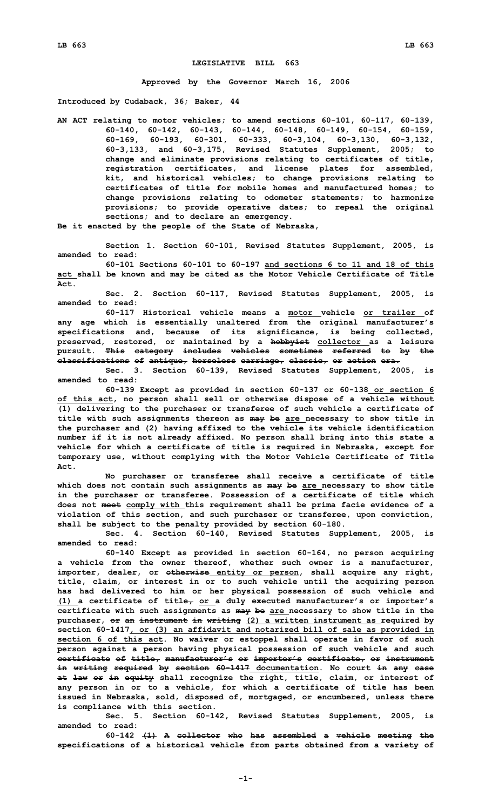## **LEGISLATIVE BILL 663**

**Approved by the Governor March 16, 2006**

**Introduced by Cudaback, 36; Baker, 44**

**AN ACT relating to motor vehicles; to amend sections 60-101, 60-117, 60-139, 60-140, 60-142, 60-143, 60-144, 60-148, 60-149, 60-154, 60-159, 60-169, 60-193, 60-301, 60-333, 60-3,104, 60-3,130, 60-3,132, 60-3,133, and 60-3,175, Revised Statutes Supplement, 2005; to change and eliminate provisions relating to certificates of title, registration certificates, and license plates for assembled, kit, and historical vehicles; to change provisions relating to certificates of title for mobile homes and manufactured homes; to change provisions relating to odometer statements; to harmonize provisions; to provide operative dates; to repeal the original sections; and to declare an emergency.**

**Be it enacted by the people of the State of Nebraska,**

**Section 1. Section 60-101, Revised Statutes Supplement, 2005, is amended to read:**

**60-101 Sections 60-101 to 60-197 and sections 6 to 11 and 18 of this act shall be known and may be cited as the Motor Vehicle Certificate of Title Act.**

**Sec. 2. Section 60-117, Revised Statutes Supplement, 2005, is amended to read:**

**60-117 Historical vehicle means a motor vehicle or trailer of any age which is essentially unaltered from the original manufacturer's specifications and, because of its significance, is being collected, preserved, restored, or maintained by <sup>a</sup> hobbyist collector as <sup>a</sup> leisure pursuit. This category includes vehicles sometimes referred to by the classifications of antique, horseless carriage, classic, or action era.**

**Sec. 3. Section 60-139, Revised Statutes Supplement, 2005, is amended to read:**

**60-139 Except as provided in section 60-137 or 60-138 or section 6 of this act, no person shall sell or otherwise dispose of <sup>a</sup> vehicle without (1) delivering to the purchaser or transferee of such vehicle <sup>a</sup> certificate of title with such assignments thereon as may be are necessary to show title in the purchaser and (2) having affixed to the vehicle its vehicle identification number if it is not already affixed. No person shall bring into this state <sup>a</sup> vehicle for which <sup>a</sup> certificate of title is required in Nebraska, except for temporary use, without complying with the Motor Vehicle Certificate of Title Act.**

**No purchaser or transferee shall receive <sup>a</sup> certificate of title which does not contain such assignments as may be are necessary to show title in the purchaser or transferee. Possession of <sup>a</sup> certificate of title which does not meet comply with this requirement shall be prima facie evidence of <sup>a</sup> violation of this section, and such purchaser or transferee, upon conviction, shall be subject to the penalty provided by section 60-180.**

**Sec. 4. Section 60-140, Revised Statutes Supplement, 2005, is amended to read:**

**60-140 Except as provided in section 60-164, no person acquiring <sup>a</sup> vehicle from the owner thereof, whether such owner is <sup>a</sup> manufacturer, importer, dealer, or otherwise entity or person, shall acquire any right, title, claim, or interest in or to such vehicle until the acquiring person has had delivered to him or her physical possession of such vehicle and (1) <sup>a</sup> certificate of title, or <sup>a</sup> duly executed manufacturer's or importer's certificate with such assignments as may be are necessary to show title in the purchaser, or an instrument in writing (2) <sup>a</sup> written instrument as required by section 60-1417, or (3) an affidavit and notarized bill of sale as provided in section 6 of this act. No waiver or estoppel shall operate in favor of such person against <sup>a</sup> person having physical possession of such vehicle and such certificate of title, manufacturer's or importer's certificate, or instrument in writing required by section 60-1417 documentation. No court in any case at law or in equity shall recognize the right, title, claim, or interest of any person in or to <sup>a</sup> vehicle, for which <sup>a</sup> certificate of title has been issued in Nebraska, sold, disposed of, mortgaged, or encumbered, unless there is compliance with this section.**

**Sec. 5. Section 60-142, Revised Statutes Supplement, 2005, is amended to read:**

**60-142 (1) <sup>A</sup> collector who has assembled <sup>a</sup> vehicle meeting the specifications of <sup>a</sup> historical vehicle from parts obtained from <sup>a</sup> variety of**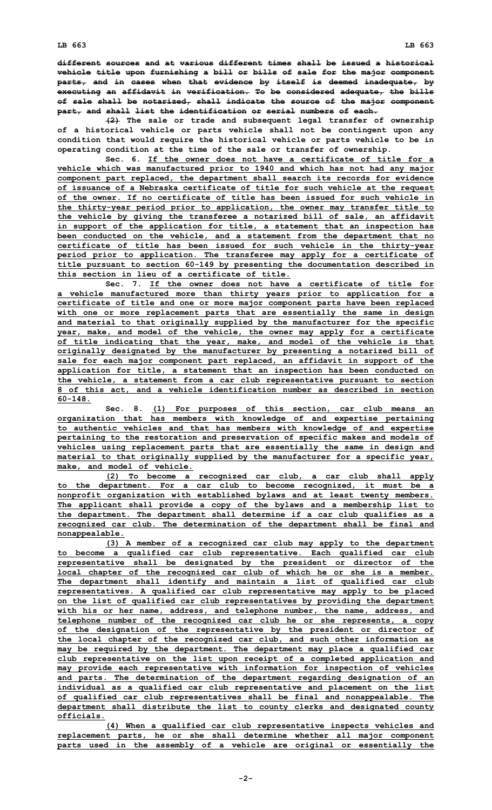**different sources and at various different times shall be issued a historical vehicle title upon furnishing <sup>a</sup> bill or bills of sale for the major component parts, and in cases when that evidence by itself is deemed inadequate, by executing an affidavit in verification. To be considered adequate, the bills of sale shall be notarized, shall indicate the source of the major component part, and shall list the identification or serial numbers of each.**

**(2) The sale or trade and subsequent legal transfer of ownership of <sup>a</sup> historical vehicle or parts vehicle shall not be contingent upon any condition that would require the historical vehicle or parts vehicle to be in operating condition at the time of the sale or transfer of ownership.**

**Sec. 6. If the owner does not have a certificate of title for a vehicle which was manufactured prior to 1940 and which has not had any major component part replaced, the department shall search its records for evidence of issuance of <sup>a</sup> Nebraska certificate of title for such vehicle at the request of the owner. If no certificate of title has been issued for such vehicle in the thirty-year period prior to application, the owner may transfer title to the vehicle by giving the transferee <sup>a</sup> notarized bill of sale, an affidavit in support of the application for title, <sup>a</sup> statement that an inspection has been conducted on the vehicle, and <sup>a</sup> statement from the department that no certificate of title has been issued for such vehicle in the thirty-year period prior to application. The transferee may apply for <sup>a</sup> certificate of title pursuant to section 60-149 by presenting the documentation described in this section in lieu of a certificate of title.**

**Sec. 7. If the owner does not have a certificate of title for <sup>a</sup> vehicle manufactured more than thirty years prior to application for <sup>a</sup> certificate of title and one or more major component parts have been replaced with one or more replacement parts that are essentially the same in design and material to that originally supplied by the manufacturer for the specific year, make, and model of the vehicle, the owner may apply for <sup>a</sup> certificate of title indicating that the year, make, and model of the vehicle is that originally designated by the manufacturer by presenting <sup>a</sup> notarized bill of sale for each major component part replaced, an affidavit in support of the application for title, <sup>a</sup> statement that an inspection has been conducted on the vehicle, <sup>a</sup> statement from <sup>a</sup> car club representative pursuant to section 8 of this act, and <sup>a</sup> vehicle identification number as described in section 60-148.**

**Sec. 8. (1) For purposes of this section, car club means an organization that has members with knowledge of and expertise pertaining to authentic vehicles and that has members with knowledge of and expertise pertaining to the restoration and preservation of specific makes and models of vehicles using replacement parts that are essentially the same in design and material to that originally supplied by the manufacturer for <sup>a</sup> specific year, make, and model of vehicle.**

**(2) To become <sup>a</sup> recognized car club, <sup>a</sup> car club shall apply to the department. For <sup>a</sup> car club to become recognized, it must be <sup>a</sup> nonprofit organization with established bylaws and at least twenty members. The applicant shall provide <sup>a</sup> copy of the bylaws and <sup>a</sup> membership list to the department. The department shall determine if <sup>a</sup> car club qualifies as <sup>a</sup> recognized car club. The determination of the department shall be final and nonappealable.**

**(3) <sup>A</sup> member of <sup>a</sup> recognized car club may apply to the department to become <sup>a</sup> qualified car club representative. Each qualified car club representative shall be designated by the president or director of the local chapter of the recognized car club of which he or she is <sup>a</sup> member. The department shall identify and maintain <sup>a</sup> list of qualified car club representatives. A qualified car club representative may apply to be placed on the list of qualified car club representatives by providing the department with his or her name, address, and telephone number, the name, address, and telephone number of the recognized car club he or she represents, <sup>a</sup> copy of the designation of the representative by the president or director of the local chapter of the recognized car club, and such other information as may be required by the department. The department may place <sup>a</sup> qualified car club representative on the list upon receipt of <sup>a</sup> completed application and may provide each representative with information for inspection of vehicles and parts. The determination of the department regarding designation of an individual as <sup>a</sup> qualified car club representative and placement on the list of qualified car club representatives shall be final and nonappealable. The department shall distribute the list to county clerks and designated county officials.**

**(4) When <sup>a</sup> qualified car club representative inspects vehicles and replacement parts, he or she shall determine whether all major component parts used in the assembly of <sup>a</sup> vehicle are original or essentially the**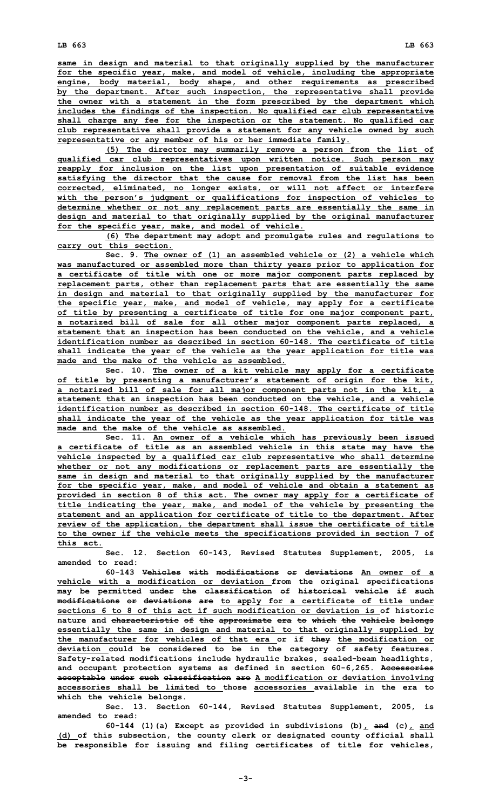**same in design and material to that originally supplied by the manufacturer for the specific year, make, and model of vehicle, including the appropriate engine, body material, body shape, and other requirements as prescribed by the department. After such inspection, the representative shall provide the owner with <sup>a</sup> statement in the form prescribed by the department which includes the findings of the inspection. No qualified car club representative shall charge any fee for the inspection or the statement. No qualified car club representative shall provide <sup>a</sup> statement for any vehicle owned by such representative or any member of his or her immediate family.**

**(5) The director may summarily remove <sup>a</sup> person from the list of qualified car club representatives upon written notice. Such person may reapply for inclusion on the list upon presentation of suitable evidence satisfying the director that the cause for removal from the list has been corrected, eliminated, no longer exists, or will not affect or interfere with the person's judgment or qualifications for inspection of vehicles to determine whether or not any replacement parts are essentially the same in design and material to that originally supplied by the original manufacturer for the specific year, make, and model of vehicle.**

**(6) The department may adopt and promulgate rules and regulations to carry out this section.**

**Sec. 9. The owner of (1) an assembled vehicle or (2) <sup>a</sup> vehicle which was manufactured or assembled more than thirty years prior to application for <sup>a</sup> certificate of title with one or more major component parts replaced by replacement parts, other than replacement parts that are essentially the same in design and material to that originally supplied by the manufacturer for the specific year, make, and model of vehicle, may apply for <sup>a</sup> certificate of title by presenting <sup>a</sup> certificate of title for one major component part, <sup>a</sup> notarized bill of sale for all other major component parts replaced, <sup>a</sup> statement that an inspection has been conducted on the vehicle, and <sup>a</sup> vehicle identification number as described in section 60-148. The certificate of title shall indicate the year of the vehicle as the year application for title was made and the make of the vehicle as assembled.**

**Sec. 10. The owner of <sup>a</sup> kit vehicle may apply for <sup>a</sup> certificate of title by presenting <sup>a</sup> manufacturer's statement of origin for the kit, <sup>a</sup> notarized bill of sale for all major component parts not in the kit, <sup>a</sup> statement that an inspection has been conducted on the vehicle, and <sup>a</sup> vehicle identification number as described in section 60-148. The certificate of title shall indicate the year of the vehicle as the year application for title was made and the make of the vehicle as assembled.**

**Sec. 11. An owner of <sup>a</sup> vehicle which has previously been issued <sup>a</sup> certificate of title as an assembled vehicle in this state may have the vehicle inspected by <sup>a</sup> qualified car club representative who shall determine whether or not any modifications or replacement parts are essentially the same in design and material to that originally supplied by the manufacturer for the specific year, make, and model of vehicle and obtain <sup>a</sup> statement as provided in section 8 of this act. The owner may apply for <sup>a</sup> certificate of title indicating the year, make, and model of the vehicle by presenting the statement and an application for certificate of title to the department. After review of the application, the department shall issue the certificate of title to the owner if the vehicle meets the specifications provided in section 7 of this act.**

**Sec. 12. Section 60-143, Revised Statutes Supplement, 2005, is amended to read:**

**60-143 Vehicles with modifications or deviations An owner of a vehicle with <sup>a</sup> modification or deviation from the original specifications may be permitted under the classification of historical vehicle if such modifications or deviations are to apply for <sup>a</sup> certificate of title under sections 6 to 8 of this act if such modification or deviation is of historic nature and characteristic of the approximate era to which the vehicle belongs essentially the same in design and material to that originally supplied by the manufacturer for vehicles of that era or if they the modification or deviation could be considered to be in the category of safety features. Safety-related modifications include hydraulic brakes, sealed-beam headlights, and occupant protection systems as defined in section 60-6,265. Accessories acceptable under such classification are A modification or deviation involving accessories shall be limited to those accessories available in the era to which the vehicle belongs.**

**Sec. 13. Section 60-144, Revised Statutes Supplement, 2005, is amended to read:**

**60-144** (1) (a) Except as provided in subdivisions (b)  $\angle$  and (c)  $\angle$  and **(d) of this subsection, the county clerk or designated county official shall be responsible for issuing and filing certificates of title for vehicles,**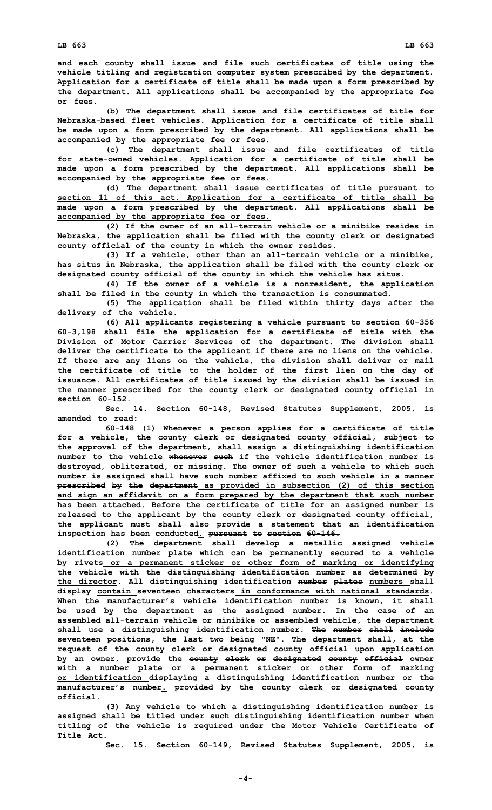**LB 663 LB 663**

**and each county shall issue and file such certificates of title using the vehicle titling and registration computer system prescribed by the department. Application for <sup>a</sup> certificate of title shall be made upon <sup>a</sup> form prescribed by the department. All applications shall be accompanied by the appropriate fee or fees.**

**(b) The department shall issue and file certificates of title for Nebraska-based fleet vehicles. Application for <sup>a</sup> certificate of title shall be made upon <sup>a</sup> form prescribed by the department. All applications shall be accompanied by the appropriate fee or fees.**

**(c) The department shall issue and file certificates of title for state-owned vehicles. Application for <sup>a</sup> certificate of title shall be made upon <sup>a</sup> form prescribed by the department. All applications shall be accompanied by the appropriate fee or fees.**

**(d) The department shall issue certificates of title pursuant to section 11 of this act. Application for <sup>a</sup> certificate of title shall be made upon <sup>a</sup> form prescribed by the department. All applications shall be accompanied by the appropriate fee or fees.**

**(2) If the owner of an all-terrain vehicle or <sup>a</sup> minibike resides in Nebraska, the application shall be filed with the county clerk or designated county official of the county in which the owner resides.**

**(3) If <sup>a</sup> vehicle, other than an all-terrain vehicle or <sup>a</sup> minibike, has situs in Nebraska, the application shall be filed with the county clerk or designated county official of the county in which the vehicle has situs.**

**(4) If the owner of <sup>a</sup> vehicle is <sup>a</sup> nonresident, the application shall be filed in the county in which the transaction is consummated.**

**(5) The application shall be filed within thirty days after the delivery of the vehicle.**

**(6) All applicants registering <sup>a</sup> vehicle pursuant to section 60-356 60-3,198 shall file the application for <sup>a</sup> certificate of title with the Division of Motor Carrier Services of the department. The division shall deliver the certificate to the applicant if there are no liens on the vehicle. If there are any liens on the vehicle, the division shall deliver or mail the certificate of title to the holder of the first lien on the day of issuance. All certificates of title issued by the division shall be issued in the manner prescribed for the county clerk or designated county official in section 60-152.**

**Sec. 14. Section 60-148, Revised Statutes Supplement, 2005, is amended to read:**

**60-148 (1) Whenever <sup>a</sup> person applies for <sup>a</sup> certificate of title for <sup>a</sup> vehicle, the county clerk or designated county official, subject to the approval of the department, shall assign <sup>a</sup> distinguishing identification number to the vehicle whenever such if the vehicle identification number is destroyed, obliterated, or missing. The owner of such <sup>a</sup> vehicle to which such number is assigned shall have such number affixed to such vehicle in <sup>a</sup> manner prescribed by the department as provided in subsection (2) of this section and sign an affidavit on <sup>a</sup> form prepared by the department that such number has been attached. Before the certificate of title for an assigned number is released to the applicant by the county clerk or designated county official, the applicant must shall also provide <sup>a</sup> statement that an identification inspection has been conducted. pursuant to section 60-146.**

**(2) The department shall develop <sup>a</sup> metallic assigned vehicle identification number plate which can be permanently secured to <sup>a</sup> vehicle by rivets or <sup>a</sup> permanent sticker or other form of marking or identifying the vehicle with the distinguishing identification number as determined by the director. All distinguishing identification number plates numbers shall display contain seventeen characters in conformance with national standards. When the manufacturer's vehicle identification number is known, it shall be used by the department as the assigned number. In the case of an assembled all-terrain vehicle or minibike or assembled vehicle, the department shall use <sup>a</sup> distinguishing identification number. The number shall include seventeen positions, the last two being "NE". The department shall, at the request of the county clerk or designated county official upon application by an owner, provide the county clerk or designated county official owner with <sup>a</sup> number plate or <sup>a</sup> permanent sticker or other form of marking or identification displaying <sup>a</sup> distinguishing identification number or the manufacturer's number. provided by the county clerk or designated county official.**

**(3) Any vehicle to which <sup>a</sup> distinguishing identification number is assigned shall be titled under such distinguishing identification number when titling of the vehicle is required under the Motor Vehicle Certificate of Title Act.**

**Sec. 15. Section 60-149, Revised Statutes Supplement, 2005, is**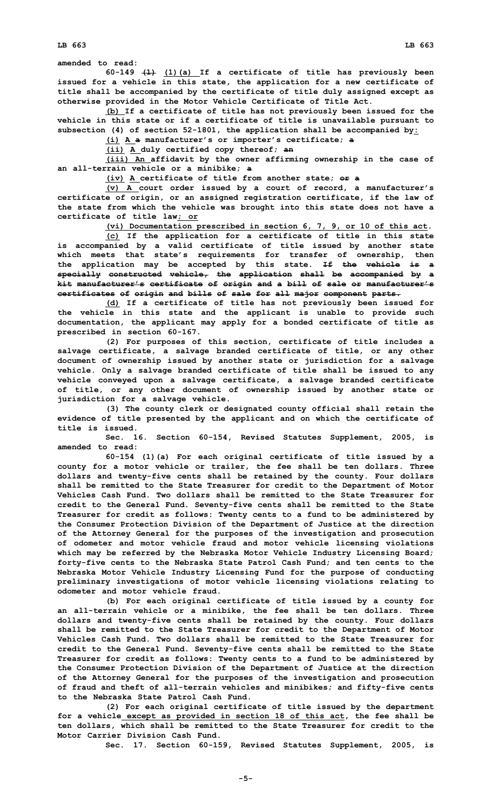**amended to read:**

**60-149 (1) (1)(a) If <sup>a</sup> certificate of title has previously been issued for <sup>a</sup> vehicle in this state, the application for <sup>a</sup> new certificate of title shall be accompanied by the certificate of title duly assigned except as otherwise provided in the Motor Vehicle Certificate of Title Act.**

**(b) If <sup>a</sup> certificate of title has not previously been issued for the vehicle in this state or if <sup>a</sup> certificate of title is unavailable pursuant to subsection (4) of section 52-1801, the application shall be accompanied by:**

**(i) <sup>A</sup> <sup>a</sup> manufacturer's or importer's certificate; <sup>a</sup>**

**(ii) <sup>A</sup> duly certified copy thereof; an**

**(iii) An affidavit by the owner affirming ownership in the case of an all-terrain vehicle or <sup>a</sup> minibike; <sup>a</sup>**

**(iv) A certificate of title from another state; or <sup>a</sup>**

**(v) <sup>A</sup> court order issued by <sup>a</sup> court of record, <sup>a</sup> manufacturer's certificate of origin, or an assigned registration certificate, if the law of the state from which the vehicle was brought into this state does not have <sup>a</sup> certificate of title law; or**

**(vi) Documentation prescribed in section 6, 7, 9, or 10 of this act.**

**(c) If the application for <sup>a</sup> certificate of title in this state is accompanied by <sup>a</sup> valid certificate of title issued by another state which meets that state's requirements for transfer of ownership, then the application may be accepted by this state. If the vehicle is <sup>a</sup> specially constructed vehicle, the application shall be accompanied by <sup>a</sup> kit manufacturer's certificate of origin and <sup>a</sup> bill of sale or manufacturer's certificates of origin and bills of sale for all major component parts.**

**(d) If <sup>a</sup> certificate of title has not previously been issued for the vehicle in this state and the applicant is unable to provide such documentation, the applicant may apply for <sup>a</sup> bonded certificate of title as prescribed in section 60-167.**

**(2) For purposes of this section, certificate of title includes <sup>a</sup> salvage certificate, <sup>a</sup> salvage branded certificate of title, or any other document of ownership issued by another state or jurisdiction for <sup>a</sup> salvage vehicle. Only <sup>a</sup> salvage branded certificate of title shall be issued to any vehicle conveyed upon <sup>a</sup> salvage certificate, <sup>a</sup> salvage branded certificate of title, or any other document of ownership issued by another state or jurisdiction for <sup>a</sup> salvage vehicle.**

**(3) The county clerk or designated county official shall retain the evidence of title presented by the applicant and on which the certificate of title is issued.**

**Sec. 16. Section 60-154, Revised Statutes Supplement, 2005, is amended to read:**

**60-154 (1)(a) For each original certificate of title issued by <sup>a</sup> county for <sup>a</sup> motor vehicle or trailer, the fee shall be ten dollars. Three dollars and twenty-five cents shall be retained by the county. Four dollars shall be remitted to the State Treasurer for credit to the Department of Motor Vehicles Cash Fund. Two dollars shall be remitted to the State Treasurer for credit to the General Fund. Seventy-five cents shall be remitted to the State Treasurer for credit as follows: Twenty cents to <sup>a</sup> fund to be administered by the Consumer Protection Division of the Department of Justice at the direction of the Attorney General for the purposes of the investigation and prosecution of odometer and motor vehicle fraud and motor vehicle licensing violations which may be referred by the Nebraska Motor Vehicle Industry Licensing Board; forty-five cents to the Nebraska State Patrol Cash Fund; and ten cents to the Nebraska Motor Vehicle Industry Licensing Fund for the purpose of conducting preliminary investigations of motor vehicle licensing violations relating to odometer and motor vehicle fraud.**

**(b) For each original certificate of title issued by <sup>a</sup> county for an all-terrain vehicle or <sup>a</sup> minibike, the fee shall be ten dollars. Three dollars and twenty-five cents shall be retained by the county. Four dollars shall be remitted to the State Treasurer for credit to the Department of Motor Vehicles Cash Fund. Two dollars shall be remitted to the State Treasurer for credit to the General Fund. Seventy-five cents shall be remitted to the State Treasurer for credit as follows: Twenty cents to <sup>a</sup> fund to be administered by the Consumer Protection Division of the Department of Justice at the direction of the Attorney General for the purposes of the investigation and prosecution of fraud and theft of all-terrain vehicles and minibikes; and fifty-five cents to the Nebraska State Patrol Cash Fund.**

**(2) For each original certificate of title issued by the department for <sup>a</sup> vehicle except as provided in section 18 of this act, the fee shall be ten dollars, which shall be remitted to the State Treasurer for credit to the Motor Carrier Division Cash Fund.**

**Sec. 17. Section 60-159, Revised Statutes Supplement, 2005, is**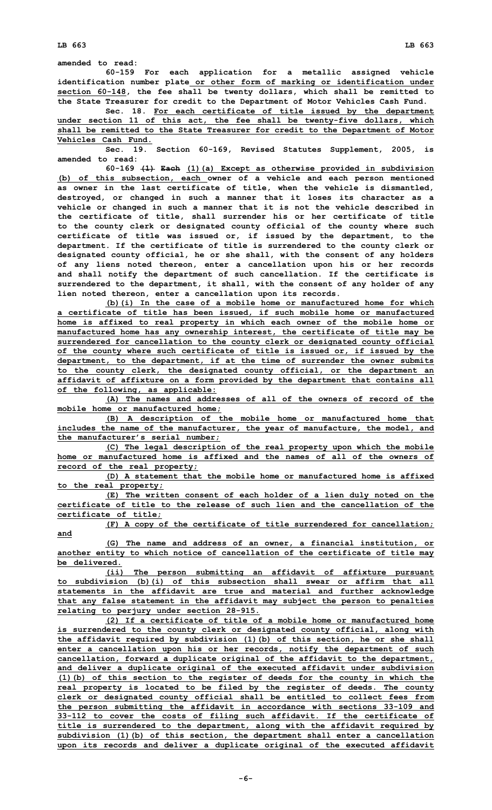**60-159 For each application for <sup>a</sup> metallic assigned vehicle identification number plate or other form of marking or identification under section 60-148, the fee shall be twenty dollars, which shall be remitted to the State Treasurer for credit to the Department of Motor Vehicles Cash Fund.**

**Sec. 18. For each certificate of title issued by the department under section 11 of this act, the fee shall be twenty-five dollars, which shall be remitted to the State Treasurer for credit to the Department of Motor Vehicles Cash Fund.**

**Sec. 19. Section 60-169, Revised Statutes Supplement, 2005, is amended to read:**

**60-169 (1) Each (1)(a) Except as otherwise provided in subdivision (b) of this subsection, each owner of <sup>a</sup> vehicle and each person mentioned as owner in the last certificate of title, when the vehicle is dismantled, destroyed, or changed in such <sup>a</sup> manner that it loses its character as <sup>a</sup> vehicle or changed in such <sup>a</sup> manner that it is not the vehicle described in the certificate of title, shall surrender his or her certificate of title to the county clerk or designated county official of the county where such certificate of title was issued or, if issued by the department, to the department. If the certificate of title is surrendered to the county clerk or designated county official, he or she shall, with the consent of any holders of any liens noted thereon, enter <sup>a</sup> cancellation upon his or her records and shall notify the department of such cancellation. If the certificate is surrendered to the department, it shall, with the consent of any holder of any lien noted thereon, enter <sup>a</sup> cancellation upon its records.**

**(b)(i) In the case of <sup>a</sup> mobile home or manufactured home for which <sup>a</sup> certificate of title has been issued, if such mobile home or manufactured home is affixed to real property in which each owner of the mobile home or manufactured home has any ownership interest, the certificate of title may be surrendered for cancellation to the county clerk or designated county official of the county where such certificate of title is issued or, if issued by the department, to the department, if at the time of surrender the owner submits to the county clerk, the designated county official, or the department an affidavit of affixture on <sup>a</sup> form provided by the department that contains all of the following, as applicable:**

**(A) The names and addresses of all of the owners of record of the mobile home or manufactured home;**

**(B) <sup>A</sup> description of the mobile home or manufactured home that includes the name of the manufacturer, the year of manufacture, the model, and the manufacturer's serial number;**

**(C) The legal description of the real property upon which the mobile home or manufactured home is affixed and the names of all of the owners of record of the real property;**

**(D) A statement that the mobile home or manufactured home is affixed to the real property;**

**(E) The written consent of each holder of <sup>a</sup> lien duly noted on the certificate of title to the release of such lien and the cancellation of the certificate of title;**

**(F) <sup>A</sup> copy of the certificate of title surrendered for cancellation;**

**(G) The name and address of an owner, <sup>a</sup> financial institution, or another entity to which notice of cancellation of the certificate of title may be delivered.**

**(ii) The person submitting an affidavit of affixture pursuant to subdivision (b)(i) of this subsection shall swear or affirm that all statements in the affidavit are true and material and further acknowledge that any false statement in the affidavit may subject the person to penalties relating to perjury under section 28-915.**

**(2) If <sup>a</sup> certificate of title of <sup>a</sup> mobile home or manufactured home is surrendered to the county clerk or designated county official, along with the affidavit required by subdivision (1)(b) of this section, he or she shall enter <sup>a</sup> cancellation upon his or her records, notify the department of such cancellation, forward <sup>a</sup> duplicate original of the affidavit to the department, and deliver <sup>a</sup> duplicate original of the executed affidavit under subdivision (1)(b) of this section to the register of deeds for the county in which the real property is located to be filed by the register of deeds. The county clerk or designated county official shall be entitled to collect fees from the person submitting the affidavit in accordance with sections 33-109 and 33-112 to cover the costs of filing such affidavit. If the certificate of title is surrendered to the department, along with the affidavit required by subdivision (1)(b) of this section, the department shall enter <sup>a</sup> cancellation upon its records and deliver <sup>a</sup> duplicate original of the executed affidavit**

**and**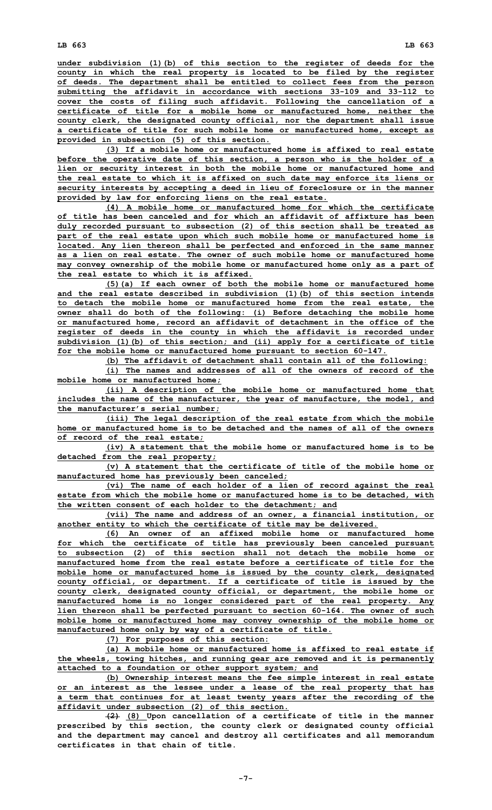**under subdivision (1)(b) of this section to the register of deeds for the county in which the real property is located to be filed by the register of deeds. The department shall be entitled to collect fees from the person submitting the affidavit in accordance with sections 33-109 and 33-112 to cover the costs of filing such affidavit. Following the cancellation of <sup>a</sup> certificate of title for <sup>a</sup> mobile home or manufactured home, neither the county clerk, the designated county official, nor the department shall issue <sup>a</sup> certificate of title for such mobile home or manufactured home, except as provided in subsection (5) of this section.**

**(3) If <sup>a</sup> mobile home or manufactured home is affixed to real estate before the operative date of this section, <sup>a</sup> person who is the holder of <sup>a</sup> lien or security interest in both the mobile home or manufactured home and the real estate to which it is affixed on such date may enforce its liens or security interests by accepting <sup>a</sup> deed in lieu of foreclosure or in the manner provided by law for enforcing liens on the real estate.**

**(4) A mobile home or manufactured home for which the certificate of title has been canceled and for which an affidavit of affixture has been duly recorded pursuant to subsection (2) of this section shall be treated as part of the real estate upon which such mobile home or manufactured home is located. Any lien thereon shall be perfected and enforced in the same manner as a lien on real estate. The owner of such mobile home or manufactured home may convey ownership of the mobile home or manufactured home only as <sup>a</sup> part of the real estate to which it is affixed.**

**(5)(a) If each owner of both the mobile home or manufactured home and the real estate described in subdivision (1)(b) of this section intends to detach the mobile home or manufactured home from the real estate, the owner shall do both of the following: (i) Before detaching the mobile home or manufactured home, record an affidavit of detachment in the office of the register of deeds in the county in which the affidavit is recorded under subdivision (1)(b) of this section; and (ii) apply for <sup>a</sup> certificate of title for the mobile home or manufactured home pursuant to section 60-147.**

**(b) The affidavit of detachment shall contain all of the following:**

**(i) The names and addresses of all of the owners of record of the mobile home or manufactured home;**

**(ii) <sup>A</sup> description of the mobile home or manufactured home that includes the name of the manufacturer, the year of manufacture, the model, and the manufacturer's serial number;**

**(iii) The legal description of the real estate from which the mobile home or manufactured home is to be detached and the names of all of the owners of record of the real estate;**

**(iv) A statement that the mobile home or manufactured home is to be detached from the real property;**

**(v) A statement that the certificate of title of the mobile home or manufactured home has previously been canceled;**

**(vi) The name of each holder of <sup>a</sup> lien of record against the real estate from which the mobile home or manufactured home is to be detached, with the written consent of each holder to the detachment; and**

**(vii) The name and address of an owner, <sup>a</sup> financial institution, or another entity to which the certificate of title may be delivered.**

**(6) An owner of an affixed mobile home or manufactured home for which the certificate of title has previously been canceled pursuant to subsection (2) of this section shall not detach the mobile home or manufactured home from the real estate before a certificate of title for the mobile home or manufactured home is issued by the county clerk, designated county official, or department. If <sup>a</sup> certificate of title is issued by the county clerk, designated county official, or department, the mobile home or manufactured home is no longer considered part of the real property. Any lien thereon shall be perfected pursuant to section 60-164. The owner of such mobile home or manufactured home may convey ownership of the mobile home or manufactured home only by way of <sup>a</sup> certificate of title.**

**(7) For purposes of this section:**

**(a) A mobile home or manufactured home is affixed to real estate if the wheels, towing hitches, and running gear are removed and it is permanently attached to <sup>a</sup> foundation or other support system; and**

**(b) Ownership interest means the fee simple interest in real estate or an interest as the lessee under <sup>a</sup> lease of the real property that has <sup>a</sup> term that continues for at least twenty years after the recording of the affidavit under subsection (2) of this section.**

**(2) (8) Upon cancellation of <sup>a</sup> certificate of title in the manner prescribed by this section, the county clerk or designated county official and the department may cancel and destroy all certificates and all memorandum certificates in that chain of title.**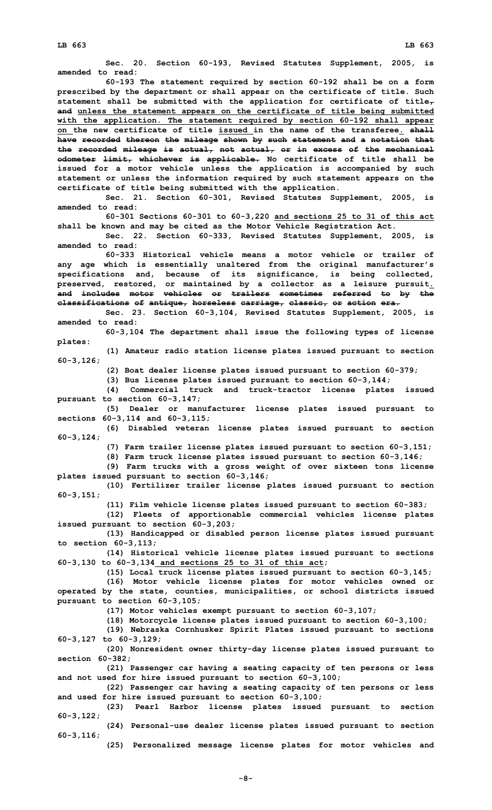**Sec. 20. Section 60-193, Revised Statutes Supplement, 2005, is amended to read: 60-193 The statement required by section 60-192 shall be on <sup>a</sup> form prescribed by the department or shall appear on the certificate of title. Such statement shall be submitted with the application for certificate of title, and unless the statement appears on the certificate of title being submitted with the application. The statement required by section 60-192 shall appear on the new certificate of title issued in the name of the transferee. shall have recorded thereon the mileage shown by such statement and <sup>a</sup> notation that the recorded mileage is actual, not actual, or in excess of the mechanical odometer limit, whichever is applicable. No certificate of title shall be issued for <sup>a</sup> motor vehicle unless the application is accompanied by such statement or unless the information required by such statement appears on the certificate of title being submitted with the application. Sec. 21. Section 60-301, Revised Statutes Supplement, 2005, is amended to read: 60-301 Sections 60-301 to 60-3,220 and sections 25 to 31 of this act shall be known and may be cited as the Motor Vehicle Registration Act. Sec. 22. Section 60-333, Revised Statutes Supplement, 2005, is amended to read: 60-333 Historical vehicle means a motor vehicle or trailer of any age which is essentially unaltered from the original manufacturer's specifications and, because of its significance, is being collected, preserved, restored, or maintained by <sup>a</sup> collector as <sup>a</sup> leisure pursuit. and includes motor vehicles or trailers sometimes referred to by the classifications of antique, horseless carriage, classic, or action era. Sec. 23. Section 60-3,104, Revised Statutes Supplement, 2005, is amended to read: 60-3,104 The department shall issue the following types of license plates: (1) Amateur radio station license plates issued pursuant to section 60-3,126; (2) Boat dealer license plates issued pursuant to section 60-379; (3) Bus license plates issued pursuant to section 60-3,144; (4) Commercial truck and truck-tractor license plates issued pursuant to section 60-3,147; (5) Dealer or manufacturer license plates issued pursuant to sections 60-3,114 and 60-3,115; (6) Disabled veteran license plates issued pursuant to section 60-3,124; (7) Farm trailer license plates issued pursuant to section 60-3,151; (8) Farm truck license plates issued pursuant to section 60-3,146; (9) Farm trucks with <sup>a</sup> gross weight of over sixteen tons license plates issued pursuant to section 60-3,146; (10) Fertilizer trailer license plates issued pursuant to section 60-3,151; (11) Film vehicle license plates issued pursuant to section 60-383; (12) Fleets of apportionable commercial vehicles license plates issued pursuant to section 60-3,203; (13) Handicapped or disabled person license plates issued pursuant to section 60-3,113; (14) Historical vehicle license plates issued pursuant to sections 60-3,130 to 60-3,134 and sections 25 to 31 of this act; (15) Local truck license plates issued pursuant to section 60-3,145; (16) Motor vehicle license plates for motor vehicles owned or operated by the state, counties, municipalities, or school districts issued pursuant to section 60-3,105; (17) Motor vehicles exempt pursuant to section 60-3,107; (18) Motorcycle license plates issued pursuant to section 60-3,100; (19) Nebraska Cornhusker Spirit Plates issued pursuant to sections 60-3,127 to 60-3,129; (20) Nonresident owner thirty-day license plates issued pursuant to section 60-382; (21) Passenger car having <sup>a</sup> seating capacity of ten persons or less and not used for hire issued pursuant to section 60-3,100; (22) Passenger car having <sup>a</sup> seating capacity of ten persons or less and used for hire issued pursuant to section 60-3,100; (23) Pearl Harbor license plates issued pursuant to section 60-3,122; (24) Personal-use dealer license plates issued pursuant to section 60-3,116; (25) Personalized message license plates for motor vehicles and**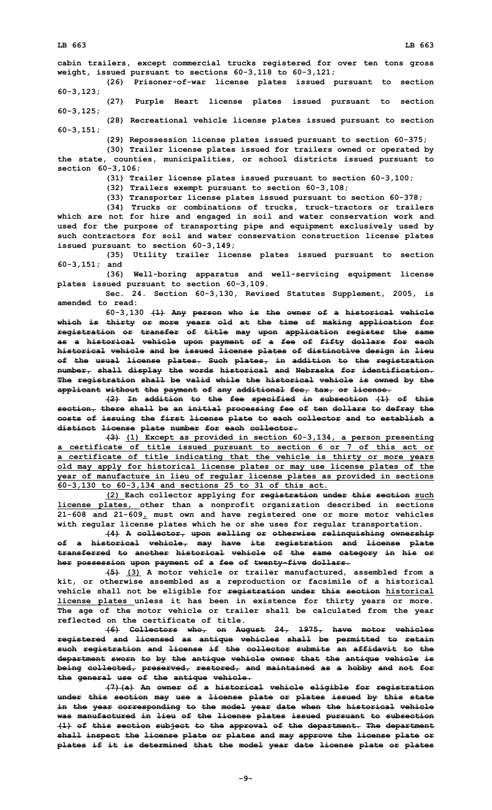**cabin trailers, except commercial trucks registered for over ten tons gross weight, issued pursuant to sections 60-3,118 to 60-3,121;**

**(26) Prisoner-of-war license plates issued pursuant to section 60-3,123;**

**(27) Purple Heart license plates issued pursuant to section 60-3,125;**

**(28) Recreational vehicle license plates issued pursuant to section 60-3,151;**

**(29) Repossession license plates issued pursuant to section 60-375;**

**(30) Trailer license plates issued for trailers owned or operated by the state, counties, municipalities, or school districts issued pursuant to section 60-3,106;**

**(31) Trailer license plates issued pursuant to section 60-3,100;**

**(32) Trailers exempt pursuant to section 60-3,108;**

**(33) Transporter license plates issued pursuant to section 60-378;**

**(34) Trucks or combinations of trucks, truck-tractors or trailers which are not for hire and engaged in soil and water conservation work and used for the purpose of transporting pipe and equipment exclusively used by such contractors for soil and water conservation construction license plates issued pursuant to section 60-3,149;**

**(35) Utility trailer license plates issued pursuant to section 60-3,151; and**

**(36) Well-boring apparatus and well-servicing equipment license plates issued pursuant to section 60-3,109.**

**Sec. 24. Section 60-3,130, Revised Statutes Supplement, 2005, is amended to read:**

**60-3,130 (1) Any person who is the owner of <sup>a</sup> historical vehicle which is thirty or more years old at the time of making application for registration or transfer of title may upon application register the same as <sup>a</sup> historical vehicle upon payment of <sup>a</sup> fee of fifty dollars for each historical vehicle and be issued license plates of distinctive design in lieu of the usual license plates. Such plates, in addition to the registration number, shall display the words historical and Nebraska for identification. The registration shall be valid while the historical vehicle is owned by the applicant without the payment of any additional fee, tax, or license.**

**(2) In addition to the fee specified in subsection (1) of this section, there shall be an initial processing fee of ten dollars to defray the costs of issuing the first license plate to each collector and to establish <sup>a</sup> distinct license plate number for each collector.**

**(3) (1) Except as provided in section 60-3,134, <sup>a</sup> person presenting <sup>a</sup> certificate of title issued pursuant to section 6 or 7 of this act or <sup>a</sup> certificate of title indicating that the vehicle is thirty or more years old may apply for historical license plates or may use license plates of the year of manufacture in lieu of regular license plates as provided in sections 60-3,130 to 60-3,134 and sections 25 to 31 of this act.**

**(2) Each collector applying for registration under this section such license plates, other than <sup>a</sup> nonprofit organization described in sections 21-608 and 21-609, must own and have registered one or more motor vehicles with regular license plates which he or she uses for regular transportation.**

**(4) <sup>A</sup> collector, upon selling or otherwise relinquishing ownership of <sup>a</sup> historical vehicle, may have its registration and license plate transferred to another historical vehicle of the same category in his or her possession upon payment of <sup>a</sup> fee of twenty-five dollars.**

**(5) (3) A motor vehicle or trailer manufactured, assembled from <sup>a</sup> kit, or otherwise assembled as <sup>a</sup> reproduction or facsimile of <sup>a</sup> historical vehicle shall not be eligible for registration under this section historical license plates unless it has been in existence for thirty years or more. The age of the motor vehicle or trailer shall be calculated from the year reflected on the certificate of title.**

**(6) Collectors who, on August 24, 1975, have motor vehicles registered and licensed as antique vehicles shall be permitted to retain such registration and license if the collector submits an affidavit to the department sworn to by the antique vehicle owner that the antique vehicle is being collected, preserved, restored, and maintained as <sup>a</sup> hobby and not for the general use of the antique vehicle.**

**(7)(a) An owner of <sup>a</sup> historical vehicle eligible for registration under this section may use <sup>a</sup> license plate or plates issued by this state in the year corresponding to the model year date when the historical vehicle was manufactured in lieu of the license plates issued pursuant to subsection (1) of this section subject to the approval of the department. The department shall inspect the license plate or plates and may approve the license plate or plates if it is determined that the model year date license plate or plates**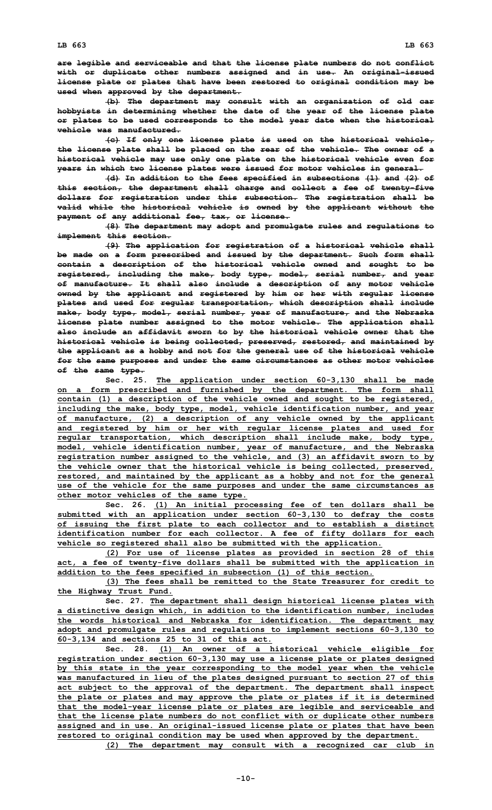**are legible and serviceable and that the license plate numbers do not conflict with or duplicate other numbers assigned and in use. An original-issued license plate or plates that have been restored to original condition may be used when approved by the department.**

**(b) The department may consult with an organization of old car hobbyists in determining whether the date of the year of the license plate or plates to be used corresponds to the model year date when the historical vehicle was manufactured.**

**(c) If only one license plate is used on the historical vehicle, the license plate shall be placed on the rear of the vehicle. The owner of <sup>a</sup> historical vehicle may use only one plate on the historical vehicle even for years in which two license plates were issued for motor vehicles in general.**

**(d) In addition to the fees specified in subsections (1) and (2) of this section, the department shall charge and collect <sup>a</sup> fee of twenty-five dollars for registration under this subsection. The registration shall be valid while the historical vehicle is owned by the applicant without the payment of any additional fee, tax, or license.**

**(8) The department may adopt and promulgate rules and regulations to implement this section.**

**(9) The application for registration of <sup>a</sup> historical vehicle shall be made on <sup>a</sup> form prescribed and issued by the department. Such form shall contain <sup>a</sup> description of the historical vehicle owned and sought to be registered, including the make, body type, model, serial number, and year of manufacture. It shall also include <sup>a</sup> description of any motor vehicle owned by the applicant and registered by him or her with regular license plates and used for regular transportation, which description shall include make, body type, model, serial number, year of manufacture, and the Nebraska license plate number assigned to the motor vehicle. The application shall also include an affidavit sworn to by the historical vehicle owner that the historical vehicle is being collected, preserved, restored, and maintained by the applicant as <sup>a</sup> hobby and not for the general use of the historical vehicle for the same purposes and under the same circumstances as other motor vehicles of the same type.**

**Sec. 25. The application under section 60-3,130 shall be made on <sup>a</sup> form prescribed and furnished by the department. The form shall contain (1) <sup>a</sup> description of the vehicle owned and sought to be registered, including the make, body type, model, vehicle identification number, and year of manufacture, (2) <sup>a</sup> description of any vehicle owned by the applicant and registered by him or her with regular license plates and used for regular transportation, which description shall include make, body type, model, vehicle identification number, year of manufacture, and the Nebraska registration number assigned to the vehicle, and (3) an affidavit sworn to by the vehicle owner that the historical vehicle is being collected, preserved, restored, and maintained by the applicant as <sup>a</sup> hobby and not for the general use of the vehicle for the same purposes and under the same circumstances as other motor vehicles of the same type.**

**Sec. 26. (1) An initial processing fee of ten dollars shall be submitted with an application under section 60-3,130 to defray the costs of issuing the first plate to each collector and to establish <sup>a</sup> distinct identification number for each collector. A fee of fifty dollars for each vehicle so registered shall also be submitted with the application.**

**(2) For use of license plates as provided in section 28 of this act, <sup>a</sup> fee of twenty-five dollars shall be submitted with the application in addition to the fees specified in subsection (1) of this section.**

**(3) The fees shall be remitted to the State Treasurer for credit to the Highway Trust Fund.**

**Sec. 27. The department shall design historical license plates with <sup>a</sup> distinctive design which, in addition to the identification number, includes the words historical and Nebraska for identification. The department may adopt and promulgate rules and regulations to implement sections 60-3,130 to 60-3,134 and sections 25 to 31 of this act.**

**Sec. 28. (1) An owner of <sup>a</sup> historical vehicle eligible for registration under section 60-3,130 may use <sup>a</sup> license plate or plates designed by this state in the year corresponding to the model year when the vehicle was manufactured in lieu of the plates designed pursuant to section 27 of this act subject to the approval of the department. The department shall inspect the plate or plates and may approve the plate or plates if it is determined that the model-year license plate or plates are legible and serviceable and that the license plate numbers do not conflict with or duplicate other numbers assigned and in use. An original-issued license plate or plates that have been restored to original condition may be used when approved by the department.**

**(2) The department may consult with <sup>a</sup> recognized car club in**